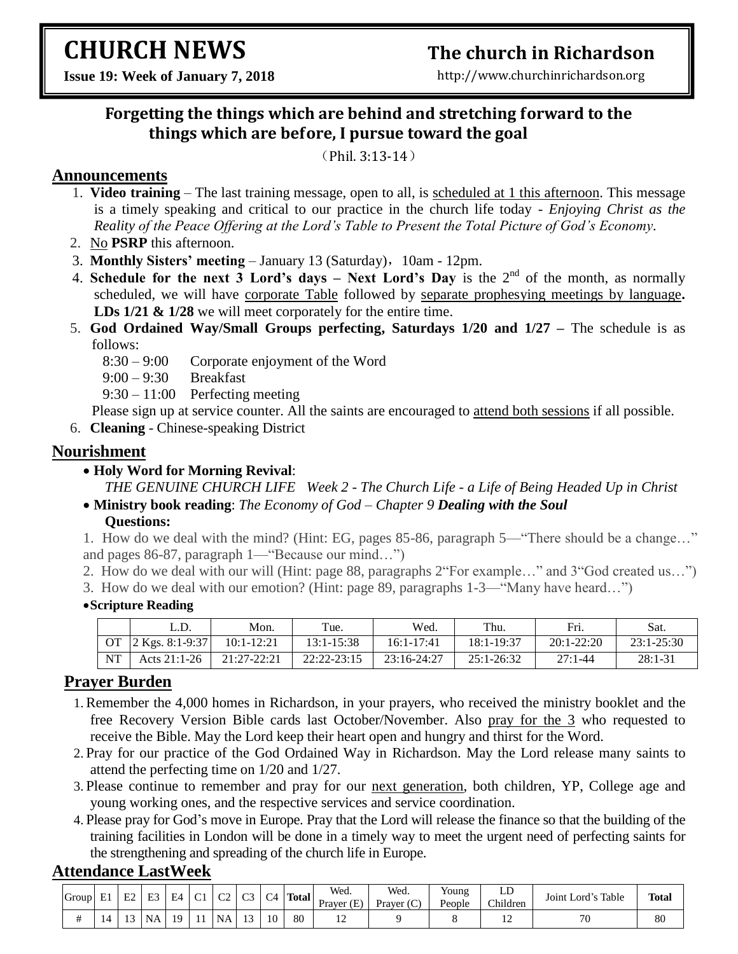# **CHURCH NEWS**

# **The church in Richardson**

http://www.churchinrichardson.org

**Issue 19: Week of January 7, 2018**

# **Forgetting the things which are behind and stretching forward to the things which are before, I pursue toward the goal**

(Phil. 3:13-14)

### **Announcements**

- 1. **Video training** The last training message, open to all, is scheduled at 1 this afternoon. This message is a timely speaking and critical to our practice in the church life today - *Enjoying Christ as the Reality of the Peace Offering at the Lord's Table to Present the Total Picture of God's Economy.*
- 2. No **PSRP** this afternoon.
- 3. **Monthly Sisters' meeting**  January 13 (Saturday),10am 12pm.
- 4. **Schedule for the next 3 Lord's days – Next Lord's Day** is the 2nd of the month, as normally scheduled, we will have corporate Table followed by separate prophesying meetings by language**. LDs 1/21 & 1/28** we will meet corporately for the entire time.
- 5. **God Ordained Way/Small Groups perfecting, Saturdays 1/20 and 1/27 –** The schedule is as follows:
	- 8:30 9:00 Corporate enjoyment of the Word
	- 9:00 9:30 Breakfast
	- 9:30 11:00 Perfecting meeting

Please sign up at service counter. All the saints are encouraged to attend both sessions if all possible.

6. **Cleaning** - Chinese-speaking District

## **Nourishment**

**Holy Word for Morning Revival**:

*THE GENUINE CHURCH LIFE Week 2 - The Church Life - a Life of Being Headed Up in Christ* **Ministry book reading**: *The Economy of God – Chapter 9 Dealing with the Soul*

#### **Questions:**

1. How do we deal with the mind? (Hint: EG, pages 85-86, paragraph 5— "There should be a change..." and pages 86-87, paragraph  $1$ —"Because our mind...")

- 2. How do we deal with our will (Hint: page 88, paragraphs 2 For example..." and 3 God created us...")
- 3. How do we deal with our emotion? (Hint: page 89, paragraphs 1-3—"Many have heard...")

#### **Scripture Reading**

|           | L.D.               | Mon.         | Tue.            | Wed.           | Thu.           | Fri.         | Sat.           |
|-----------|--------------------|--------------|-----------------|----------------|----------------|--------------|----------------|
|           | OT 2 Kgs. 8:1-9:37 | $10:1-12:21$ | $13:1 - 15:38$  | $16:1 - 17:41$ | 18:1-19:37     | $20:1-22:20$ | $23:1 - 25:30$ |
| <b>NT</b> | Acts $21:1-26$     | 21:27-22:21  | $22:22 - 23:15$ | 23:16-24:27    | $25:1 - 26:32$ | $27:1 - 44$  | $28:1-31$      |

# **Prayer Burden**

- 1.Remember the 4,000 homes in Richardson, in your prayers, who received the ministry booklet and the free Recovery Version Bible cards last October/November. Also pray for the 3 who requested to receive the Bible. May the Lord keep their heart open and hungry and thirst for the Word.
- 2. Pray for our practice of the God Ordained Way in Richardson. May the Lord release many saints to attend the perfecting time on 1/20 and 1/27.
- 3. Please continue to remember and pray for our next generation, both children, YP, College age and young working ones, and the respective services and service coordination.
- 4. Please pray for God's move in Europe. Pray that the Lord will release the finance so that the building of the training facilities in London will be done in a timely way to meet the urgent need of perfecting saints for the strengthening and spreading of the church life in Europe.

## **Attendance LastWeek**

| Group | E1  | E <sub>2</sub> | E <sub>3</sub> | E4 | $\sim$<br>◡ | $\sim$<br>ັ | C <sub>3</sub> | C4 | <b>Total</b> | Wed.<br>Praver $(E)$ | Wea.<br>$\sim$<br>Prayer (C) | Young<br>People | ᅛ<br>Children | Table<br>.<br>Joint Lord's | <b>Total</b> |
|-------|-----|----------------|----------------|----|-------------|-------------|----------------|----|--------------|----------------------|------------------------------|-----------------|---------------|----------------------------|--------------|
|       | I 4 | $\sim$         | NA             | 19 |             | <b>NA</b>   | $\sim$         | 10 | 80           |                      |                              |                 | . .           | $\overline{\phantom{a}}$   | 80           |